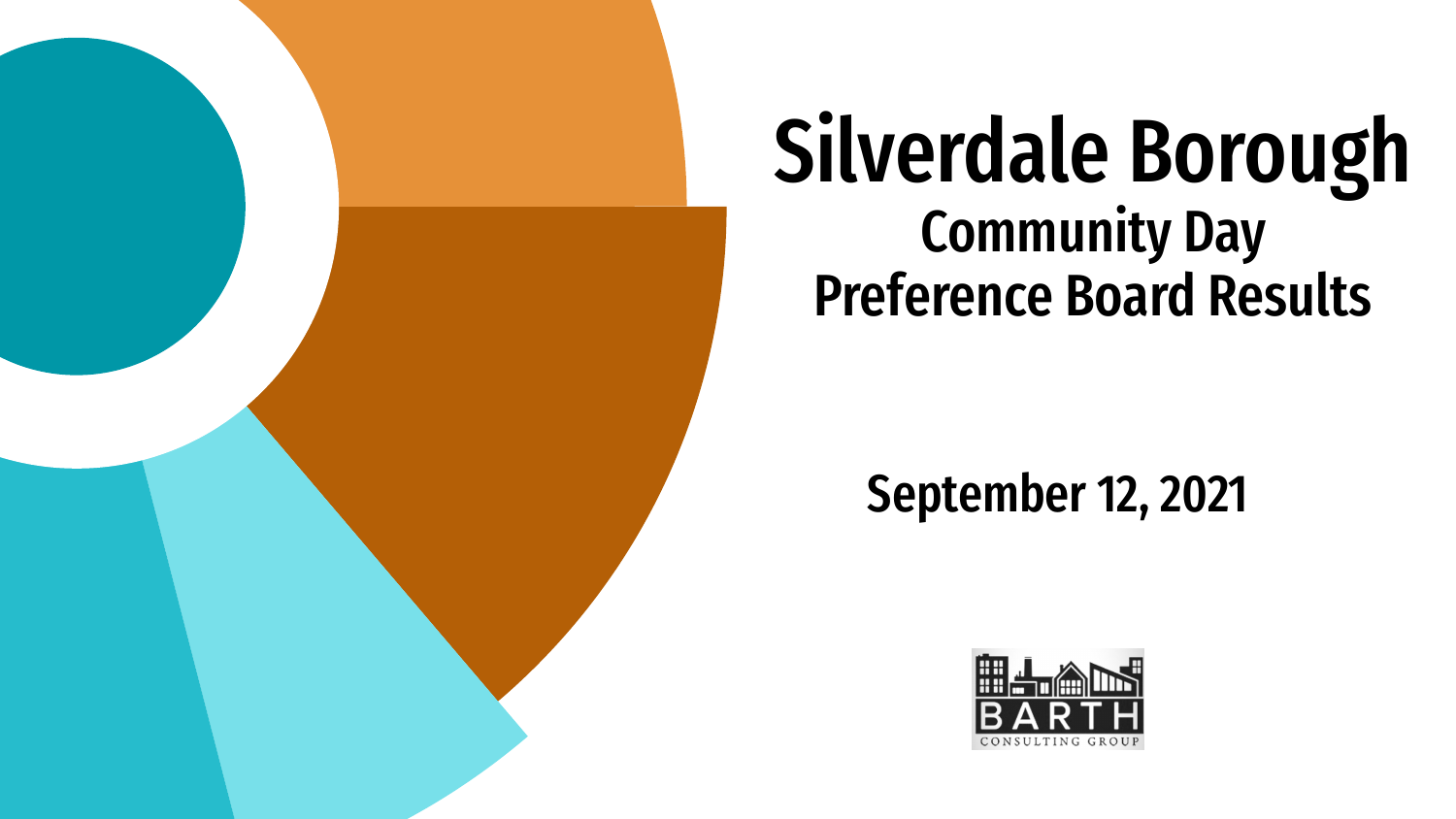

# Silverdale Borough Community Day Preference Board Results

September 12, 2021

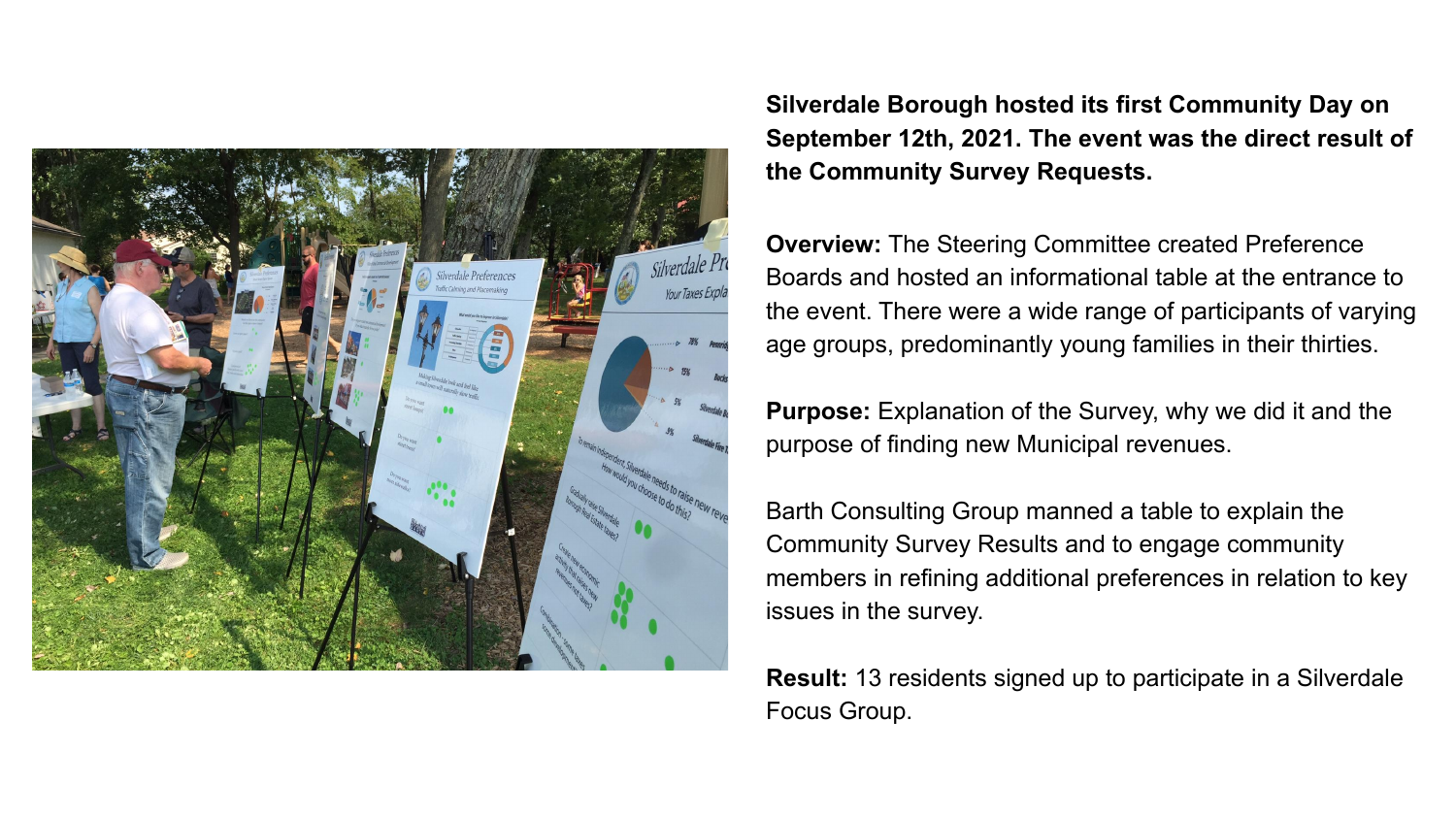

**Silverdale Borough hosted its first Community Day on September 12th, 2021. The event was the direct result of the Community Survey Requests.**

**Overview:** The Steering Committee created Preference Boards and hosted an informational table at the entrance to the event. There were a wide range of participants of varying age groups, predominantly young families in their thirties.

**Purpose:** Explanation of the Survey, why we did it and the purpose of finding new Municipal revenues.

Barth Consulting Group manned a table to explain the Community Survey Results and to engage community members in refining additional preferences in relation to key issues in the survey.

**Result:** 13 residents signed up to participate in a Silverdale Focus Group.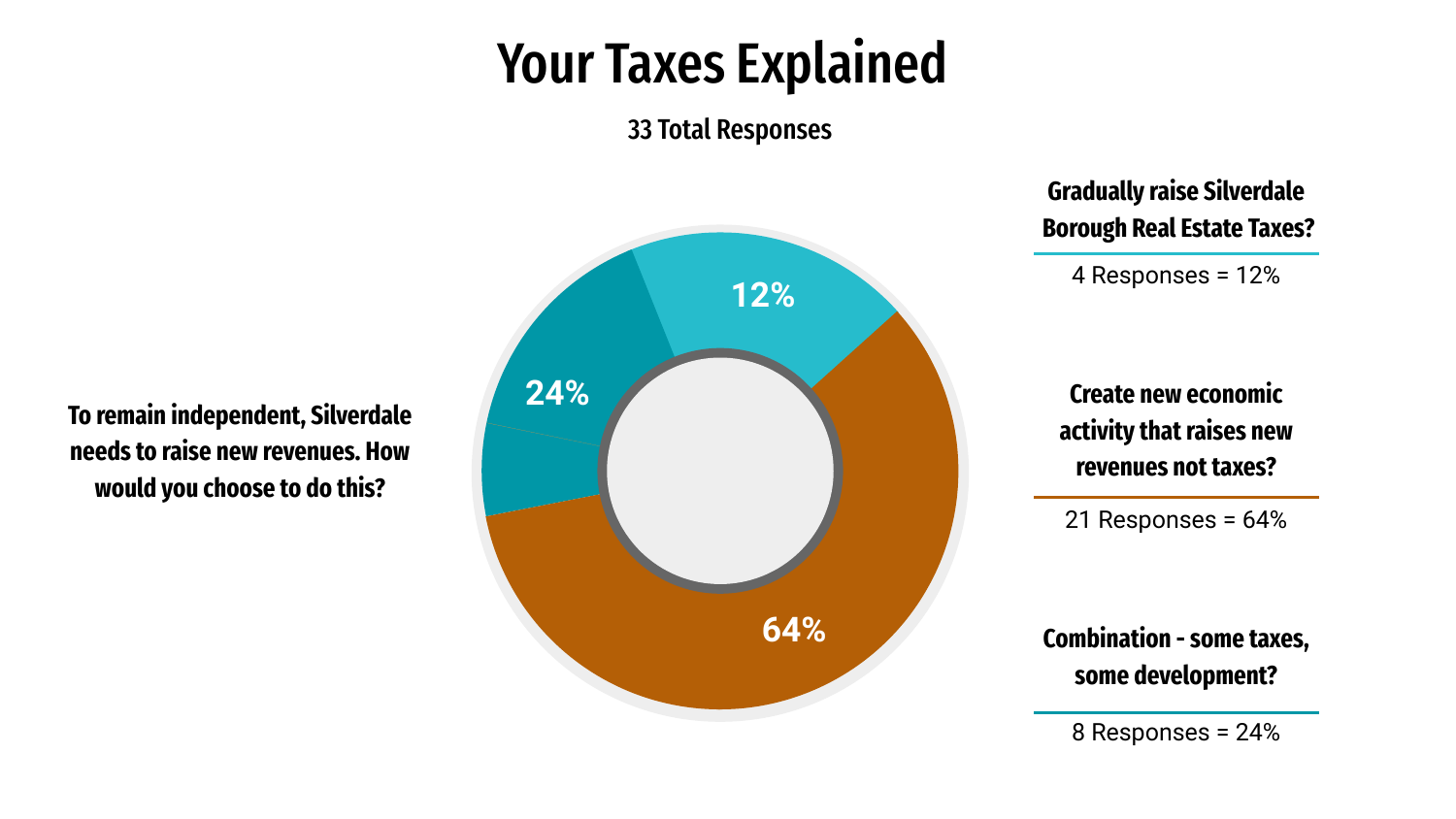#### Your Taxes Explained

33 Total Responses

**To remain independent, Silverdale needs to raise new revenues. How would you choose to do this?** 



**Gradually raise Silverdale Borough Real Estate Taxes?**

4 Responses = 12%

**Create new economic activity that raises new revenues not taxes?**

21 Responses = 64%

**Combination - some taxes, some development?**

8 Responses = 24%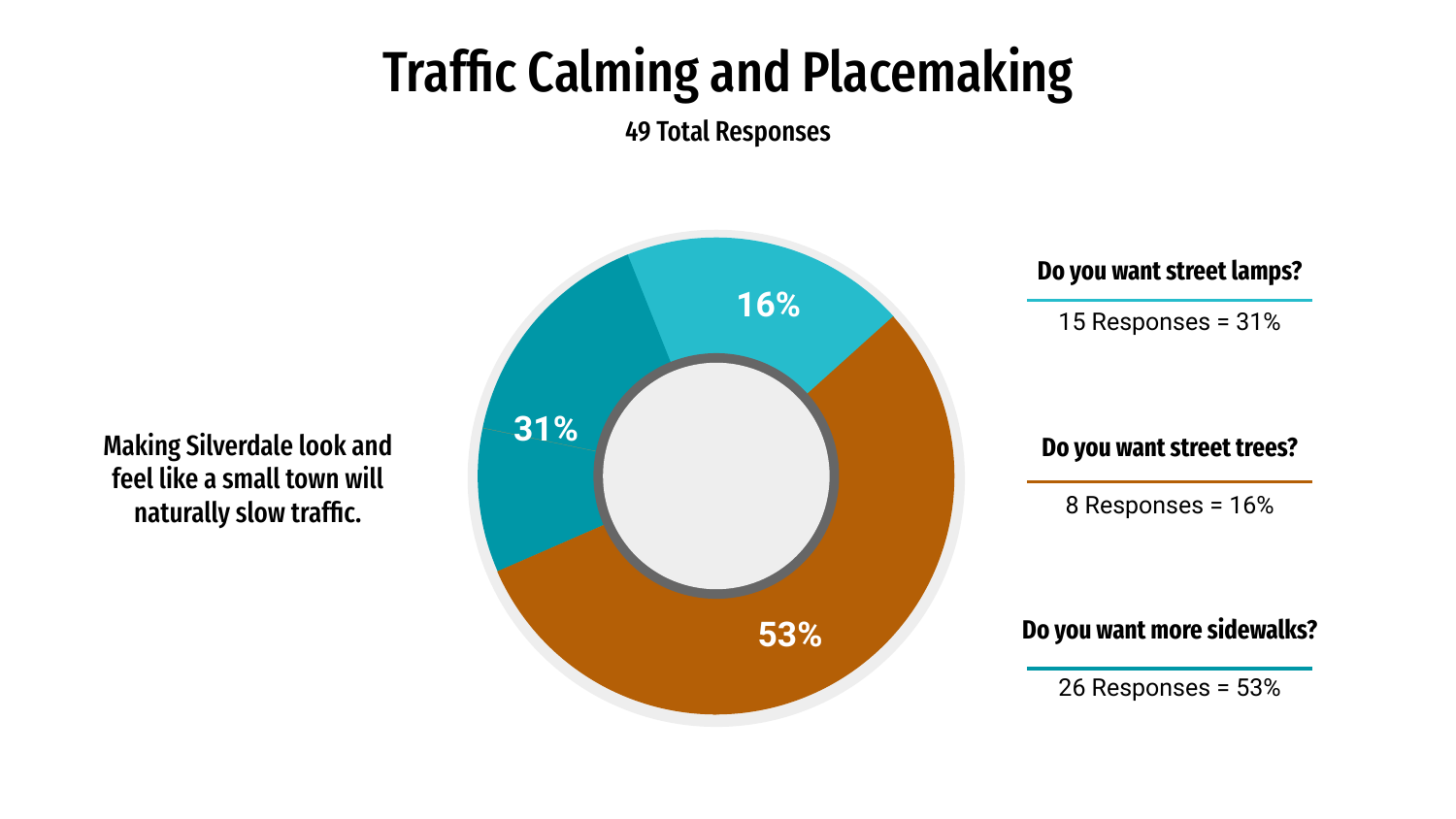## Traffic Calming and Placemaking

49 Total Responses

**Do you want street lamps?** 15 Responses = 31% **31% 16% 53%** 8 Responses = 16% **Do you want street trees?** 26 Responses = 53% **Do you want more sidewalks?**

Making Silverdale look and feel like a small town will naturally slow traffic.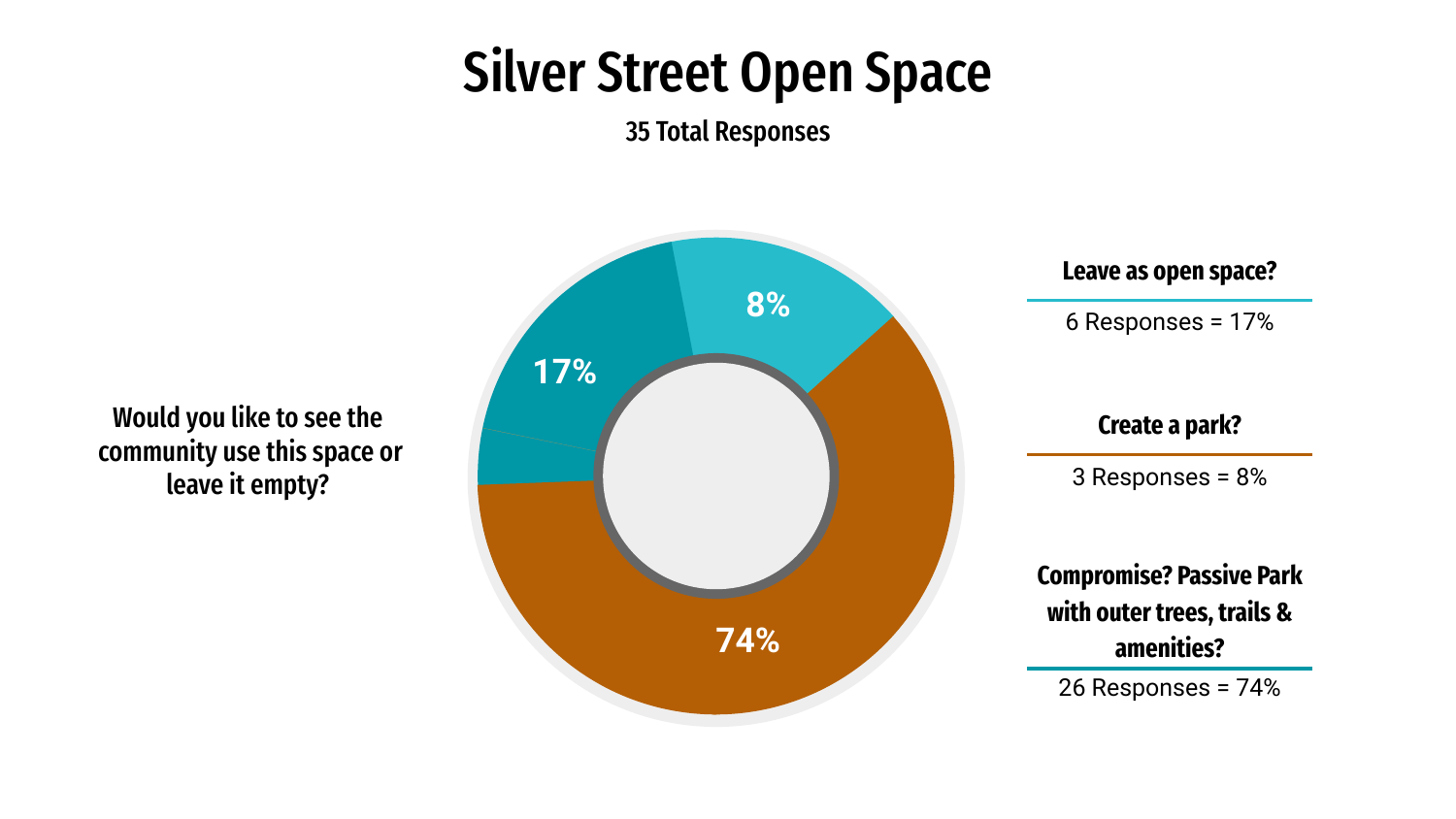### Silver Street Open Space

35 Total Responses

Would you like to see the community use this space or leave it empty?



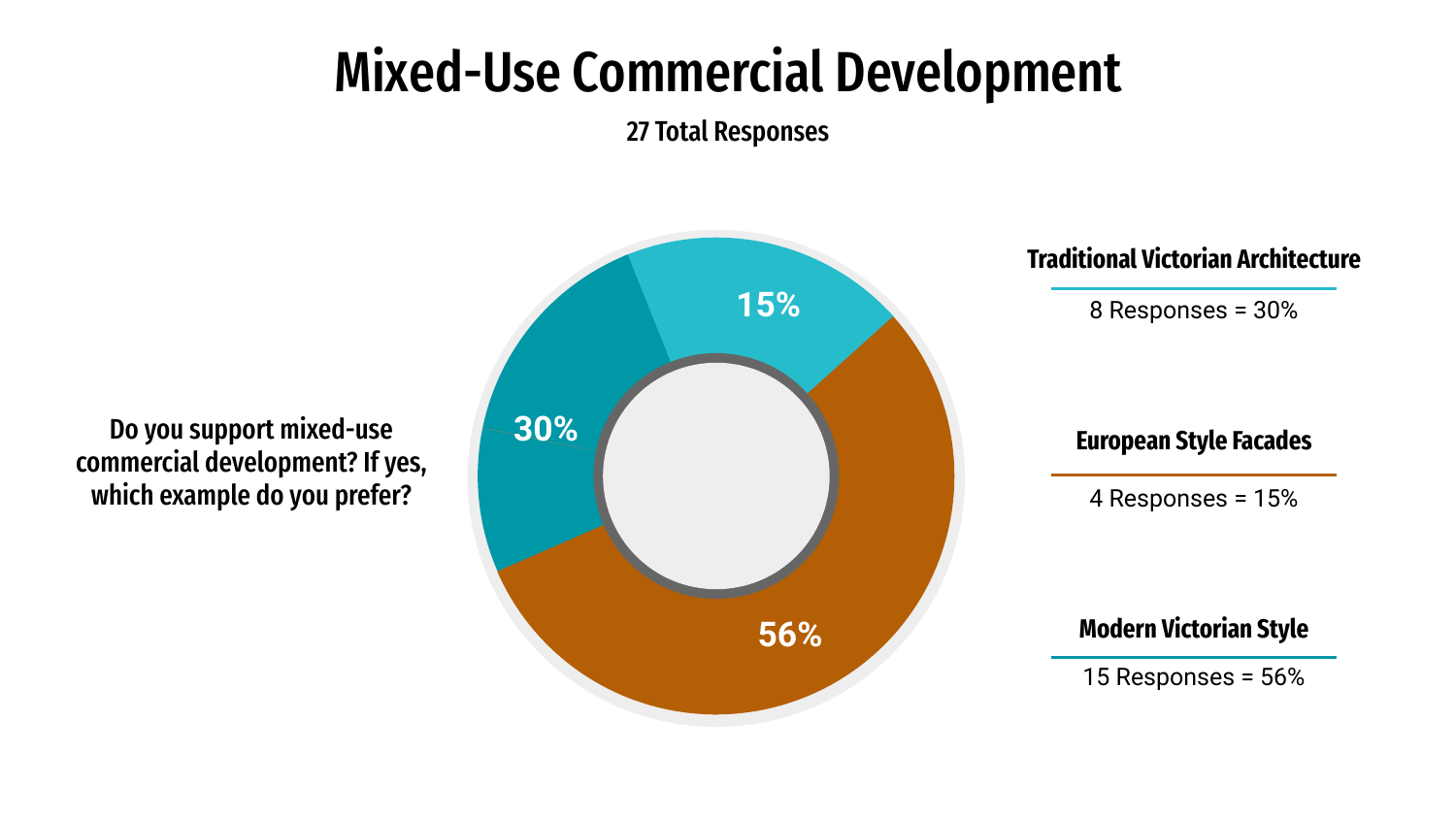### Mixed-Use Commercial Development

27 Total Responses

**Traditional Victorian Architecture** 8 Responses = 30% **30% 15% 56%** 4 Responses = 15% **European Style Facades** 15 Responses = 56% **Modern Victorian Style**

Do you support mixed-use commercial development? If yes, which example do you prefer?